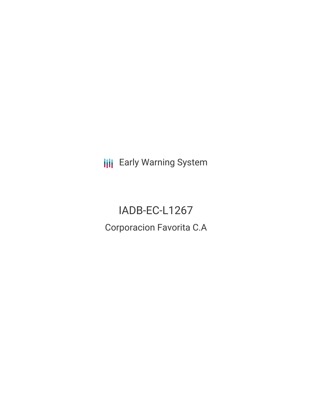**III** Early Warning System

IADB-EC-L1267 Corporacion Favorita C.A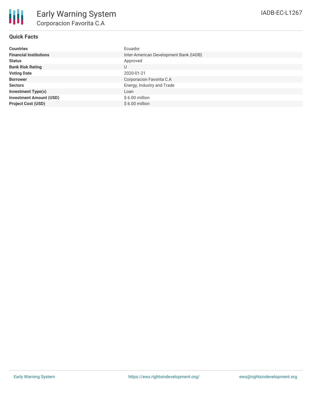| <b>Countries</b>               | Ecuador                                |
|--------------------------------|----------------------------------------|
| <b>Financial Institutions</b>  | Inter-American Development Bank (IADB) |
| <b>Status</b>                  | Approved                               |
| <b>Bank Risk Rating</b>        | U                                      |
| <b>Voting Date</b>             | 2020-01-21                             |
| <b>Borrower</b>                | Corporacion Favorita C.A               |
| <b>Sectors</b>                 | Energy, Industry and Trade             |
| <b>Investment Type(s)</b>      | Loan                                   |
| <b>Investment Amount (USD)</b> | $$6.00$ million                        |
| <b>Project Cost (USD)</b>      | $$6.00$ million                        |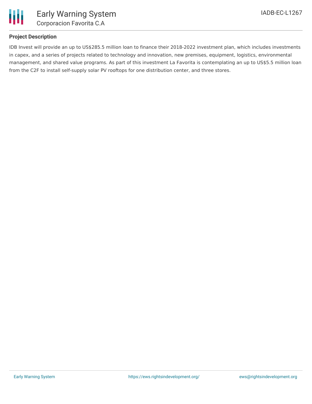

## **Project Description**

IDB Invest will provide an up to US\$285.5 million loan to finance their 2018-2022 investment plan, which includes investments in capex, and a series of projects related to technology and innovation, new premises, equipment, logistics, environmental management, and shared value programs. As part of this investment La Favorita is contemplating an up to US\$5.5 million loan from the C2F to install self-supply solar PV rooftops for one distribution center, and three stores.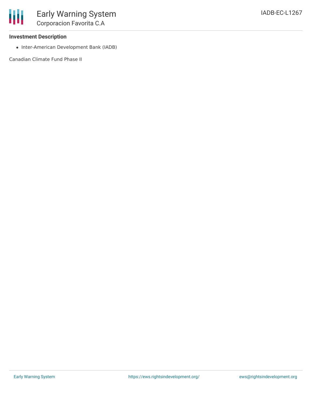## **Investment Description**

• Inter-American Development Bank (IADB)

Canadian Climate Fund Phase II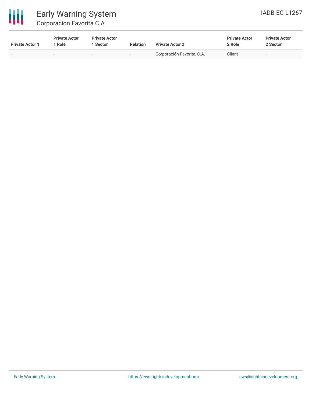

| <b>Private Actor 1</b> | <b>Private Actor</b><br><b>Role</b> | <b>Private Actor</b><br>1 Sector | <b>Relation</b>          | <b>Private Actor 2</b>     | <b>Private Actor</b><br>2 Role | <b>Private Actor</b><br>2 Sector |
|------------------------|-------------------------------------|----------------------------------|--------------------------|----------------------------|--------------------------------|----------------------------------|
| -                      |                                     | $\sim$                           | $\overline{\phantom{0}}$ | Corporación Favorita, C.A. | Client                         | $\overline{\phantom{a}}$         |